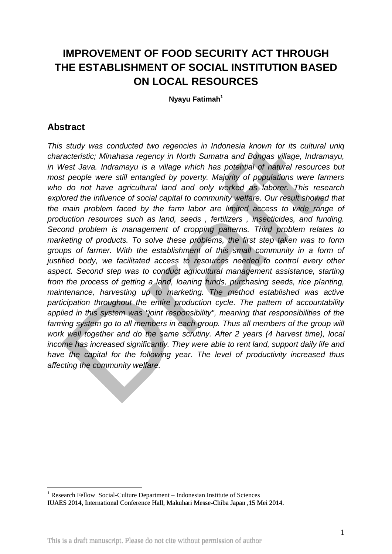# **IMPROVEMENT OF FOOD SECURITY ACT THROUGH THE ESTABLISHMENT OF SOCIAL INSTITUTION BASED ON LOCAL RESOURCES**

**Nyayu Fatimah<sup>1</sup>**

## **Abstract**

*This study was conducted two regencies in Indonesia known for its cultural uniq characteristic; Minahasa regency in North Sumatra and Bongas village, Indramayu, in West Java. Indramayu is a village which has potential of natural resources but most people were still entangled by poverty. Majority of populations were farmers who do not have agricultural land and only worked as laborer. This research explored the influence of social capital to community welfare. Our result showed that the main problem faced by the farm labor are limited access to wide range of production resources such as land, seeds , fertilizers , insecticides, and funding. Second problem is management of cropping patterns. Third problem relates to marketing of products. To solve these problems, the first step taken was to form groups of farmer. With the establishment of this small community in a form of justified body, we facilitated access to resources needed to control every other aspect. Second step was to conduct agricultural management assistance, starting from the process of getting a land, loaning funds, purchasing seeds, rice planting, maintenance, harvesting up to marketing. The method established was active participation throughout the entire production cycle. The pattern of accountability applied in this system was "joint responsibility", meaning that responsibilities of the*  farming system go to all members in each group. Thus all members of the group will *work well together and do the same scrutiny. After 2 years (4 harvest time), local income has increased significantly. They were able to rent land, support daily life and have the capital for the following year. The level of productivity increased thus affecting the community welfare.*

<sup>1</sup>  $1$  Research Fellow Social-Culture Department – Indonesian Institute of Sciences

IUAES 2014, International Conference Hall, Makuhari Messe-Chiba Japan ,15 Mei 2014.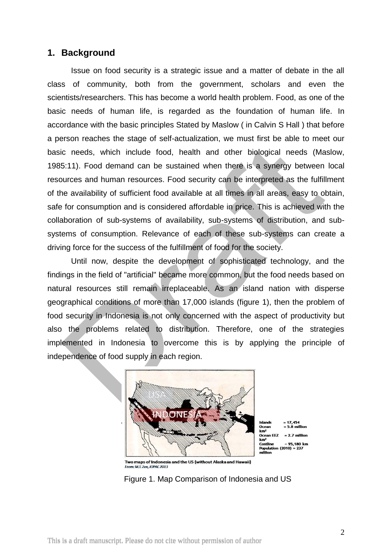## **1. Background**

Issue on food security is a strategic issue and a matter of debate in the all class of community, both from the government, scholars and even the scientists/researchers. This has become a world health problem. Food, as one of the basic needs of human life, is regarded as the foundation of human life. In accordance with the basic principles Stated by Maslow ( in Calvin S Hall ) that before a person reaches the stage of self-actualization, we must first be able to meet our basic needs, which include food, health and other biological needs (Maslow, 1985:11). Food demand can be sustained when there is a synergy between local resources and human resources. Food security can be interpreted as the fulfillment of the availability of sufficient food available at all times in all areas, easy to obtain, safe for consumption and is considered affordable in price. This is achieved with the collaboration of sub-systems of availability, sub-systems of distribution, and subsystems of consumption. Relevance of each of these sub-systems can create a driving force for the success of the fulfillment of food for the society.

Until now, despite the development of sophisticated technology, and the findings in the field of "artificial" became more common, but the food needs based on natural resources still remain irreplaceable. As an island nation with disperse geographical conditions of more than 17,000 islands (figure 1), then the problem of food security in Indonesia is not only concerned with the aspect of productivity but also the problems related to distribution. Therefore, one of the strategies implemented in Indonesia to overcome this is by applying the principle of independence of food supply in each region.



Two maps of Indonesia and the US (without Alaska and Hawaii) From: M T Zen 10PAC 2013

Figure 1. Map Comparison of Indonesia and US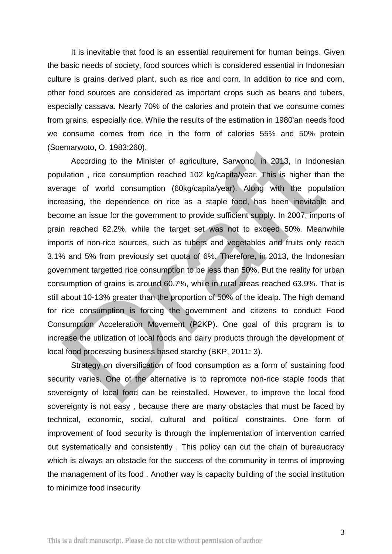It is inevitable that food is an essential requirement for human beings. Given the basic needs of society, food sources which is considered essential in Indonesian culture is grains derived plant, such as rice and corn. In addition to rice and corn, other food sources are considered as important crops such as beans and tubers, especially cassava. Nearly 70% of the calories and protein that we consume comes from grains, especially rice. While the results of the estimation in 1980'an needs food we consume comes from rice in the form of calories 55% and 50% protein (Soemarwoto, O. 1983:260).

According to the Minister of agriculture, Sarwono, in 2013, In Indonesian population , rice consumption reached 102 kg/capita/year. This is higher than the average of world consumption (60kg/capita/year). Along with the population increasing, the dependence on rice as a staple food, has been inevitable and become an issue for the government to provide sufficient supply. In 2007, imports of grain reached 62.2%, while the target set was not to exceed 50%. Meanwhile imports of non-rice sources, such as tubers and vegetables and fruits only reach 3.1% and 5% from previously set quota of 6%. Therefore, in 2013, the Indonesian government targetted rice consumption to be less than 50%. But the reality for urban consumption of grains is around 60.7%, while in rural areas reached 63.9%. That is still about 10-13% greater than the proportion of 50% of the idealp. The high demand for rice consumption is forcing the government and citizens to conduct Food Consumption Acceleration Movement (P2KP). One goal of this program is to increase the utilization of local foods and dairy products through the development of local food processing business based starchy (BKP, 2011: 3).

Strategy on diversification of food consumption as a form of sustaining food security varies. One of the alternative is to repromote non-rice staple foods that sovereignty of local food can be reinstalled. However, to improve the local food sovereignty is not easy , because there are many obstacles that must be faced by technical, economic, social, cultural and political constraints. One form of improvement of food security is through the implementation of intervention carried out systematically and consistently . This policy can cut the chain of bureaucracy which is always an obstacle for the success of the community in terms of improving the management of its food . Another way is capacity building of the social institution to minimize food insecurity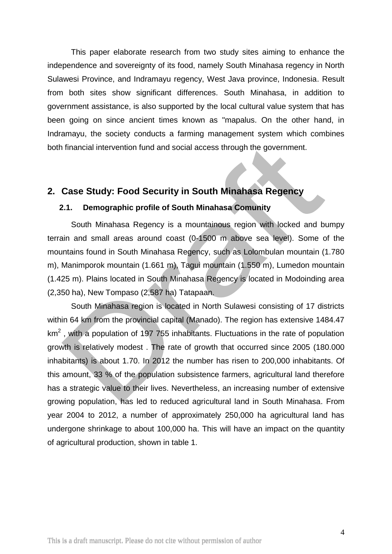This paper elaborate research from two study sites aiming to enhance the independence and sovereignty of its food, namely South Minahasa regency in North Sulawesi Province, and Indramayu regency, West Java province, Indonesia. Result from both sites show significant differences. South Minahasa, in addition to government assistance, is also supported by the local cultural value system that has been going on since ancient times known as "mapalus. On the other hand, in Indramayu, the society conducts a farming management system which combines both financial intervention fund and social access through the government.

## **2. Case Study: Food Security in South Minahasa Regency**

### **2.1. Demographic profile of South Minahasa Comunity**

South Minahasa Regency is a mountainous region with locked and bumpy terrain and small areas around coast (0-1500 m above sea level). Some of the mountains found in South Minahasa Regency, such as Lolombulan mountain (1.780 m), Manimporok mountain (1.661 m), Tagui mountain (1.550 m), Lumedon mountain (1.425 m). Plains located in South Minahasa Regency is located in Modoinding area (2,350 ha), New Tompaso (2,587 ha) Tatapaan.

South Minahasa region is located in North Sulawesi consisting of 17 districts within 64 km from the provincial capital (Manado). The region has extensive 1484.47  $km<sup>2</sup>$ , with a population of 197 755 inhabitants. Fluctuations in the rate of population growth is relatively modest . The rate of growth that occurred since 2005 (180.000 inhabitants) is about 1.70. In 2012 the number has risen to 200,000 inhabitants. Of this amount, 33 % of the population subsistence farmers, agricultural land therefore has a strategic value to their lives. Nevertheless, an increasing number of extensive growing population, has led to reduced agricultural land in South Minahasa. From year 2004 to 2012, a number of approximately 250,000 ha agricultural land has undergone shrinkage to about 100,000 ha. This will have an impact on the quantity of agricultural production, shown in table 1.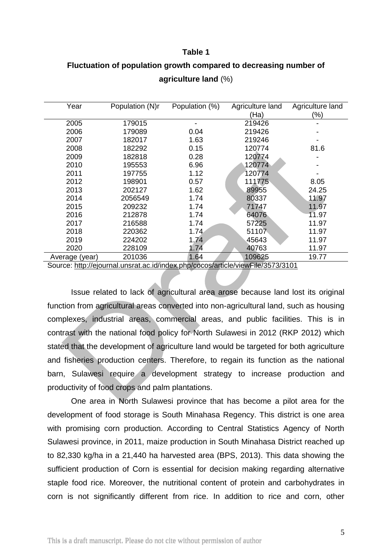#### **Table 1**

# **Fluctuation of population growth compared to decreasing number of agriculture land** (%)

| Year                                                                            | Population (N)r | Population (%) | Agriculture land | Agriculture land |  |
|---------------------------------------------------------------------------------|-----------------|----------------|------------------|------------------|--|
|                                                                                 |                 |                | (Ha)             | (%)              |  |
| 2005                                                                            | 179015          |                | 219426           |                  |  |
| 2006                                                                            | 179089          | 0.04           | 219426           |                  |  |
| 2007                                                                            | 182017          | 1.63           | 219246           |                  |  |
| 2008                                                                            | 182292          | 0.15           | 120774           | 81.6             |  |
| 2009                                                                            | 182818          | 0.28           | 120774           |                  |  |
| 2010                                                                            | 195553          | 6.96<br>120774 |                  |                  |  |
| 2011                                                                            | 197755          | 1.12           | 120774           |                  |  |
| 2012                                                                            | 198901          | 0.57           | 111775           | 8.05             |  |
| 2013                                                                            | 202127          | 1.62           | 89955            | 24.25            |  |
| 2014                                                                            | 2056549         | 1.74           | 80337            | 11.97            |  |
| 2015                                                                            | 209232          | 1.74           | 71747            | 11.97            |  |
| 2016                                                                            | 212878          | 1.74           | 64076            | 11.97            |  |
| 2017                                                                            | 216588          | 1.74           | 57225            | 11.97            |  |
| 2018                                                                            | 220362          | 1.74           | 51107            | 11.97            |  |
| 2019                                                                            | 224202          | 1.74           | 45643            | 11.97            |  |
| 2020                                                                            | 228109          | 1.74           | 40763            | 11.97            |  |
| Average (year)                                                                  | 201036          | 1.64           | 109625           | 19.77            |  |
| Source: http://ejournal.unsrat.ac.id/index.php/cocos/article/viewFile/3573/3101 |                 |                |                  |                  |  |

Source:<http://ejournal.unsrat.ac.id/index.php/cocos/article/viewFile/3573/3101>

Issue related to lack of agricultural area arose because land lost its original function from agricultural areas converted into non-agricultural land, such as housing complexes, industrial areas, commercial areas, and public facilities. This is in contrast with the national food policy for North Sulawesi in 2012 (RKP 2012) which stated that the development of agriculture land would be targeted for both agriculture and fisheries production centers. Therefore, to regain its function as the national barn, Sulawesi require a development strategy to increase production and productivity of food crops and palm plantations.

One area in North Sulawesi province that has become a pilot area for the development of food storage is South Minahasa Regency. This district is one area with promising corn production. According to Central Statistics Agency of North Sulawesi province, in 2011, maize production in South Minahasa District reached up to 82,330 kg/ha in a 21,440 ha harvested area (BPS, 2013). This data showing the sufficient production of Corn is essential for decision making regarding alternative staple food rice. Moreover, the nutritional content of protein and carbohydrates in corn is not significantly different from rice. In addition to rice and corn, other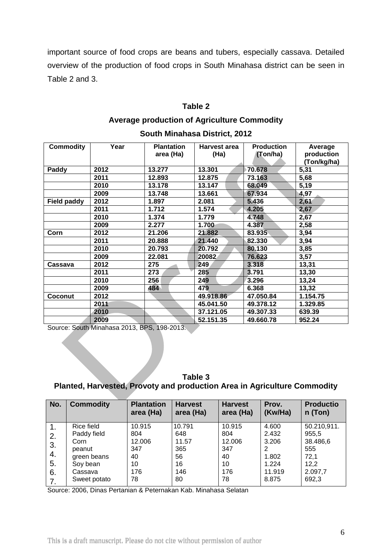important source of food crops are beans and tubers, especially cassava. Detailed overview of the production of food crops in South Minahasa district can be seen in Table 2 and 3.

### **Table 2**

# **Average production of Agriculture Commodity**

| <b>Commodity</b>   | Year | <b>Plantation</b><br>area (Ha) | <b>Harvest area</b><br>(Ha) | <b>Production</b><br>(Ton/ha) | Average<br>production |
|--------------------|------|--------------------------------|-----------------------------|-------------------------------|-----------------------|
|                    |      |                                |                             |                               | (Ton/kg/ha)           |
| Paddy              | 2012 | 13.277                         | 13.301                      | 70.678                        | 5,31                  |
|                    | 2011 | 12.893                         | 12.875                      | 73.163                        | 5,68                  |
|                    | 2010 | 13.178                         | 13.147                      | 68.049                        | 5,19                  |
|                    | 2009 | 13.748                         | 13.661                      | 67.934                        | 4,97                  |
| <b>Field paddy</b> | 2012 | 1.897                          | 2.081                       | 5.436                         | 2,61                  |
|                    | 2011 | 1.712                          | 1.574                       | 4.205                         | 2,67                  |
|                    | 2010 | 1.374                          | 1.779                       | 4.748                         | 2,67                  |
|                    | 2009 | 2.277                          | 1.700                       | 4.387                         | 2,58                  |
| Corn               | 2012 | 21.206                         | 21.882                      | 83.935                        | 3,94                  |
|                    | 2011 | 20.888                         | 21.440                      | 82.330                        | 3,94                  |
|                    | 2010 | 20.793                         | 20.792                      | 80.130                        | 3,85                  |
|                    | 2009 | 22.081                         | 20082                       | 76.623                        | 3,57                  |
| Cassava            | 2012 | 275                            | 249                         | 3.318                         | 13,31                 |
|                    | 2011 | 273                            | 285                         | 3.791                         | 13,30                 |
|                    | 2010 | 256                            | 249                         | 3.296                         | 13,24                 |
|                    | 2009 | 484                            | 479                         | 6.368                         | 13,32                 |
| Coconut            | 2012 |                                | 49.918.86                   | 47.050.84                     | 1.154.75              |
|                    | 2011 |                                | 45.041.50                   | 49.378.12                     | 1.329.85              |
|                    | 2010 |                                | 37.121.05                   | 49.307.33                     | 639.39                |
|                    | 2009 |                                | 52.151.35                   | 49.660.78                     | 952.24                |

### **South Minahasa District, 2012**

Source: South Minahasa 2013, BPS, 198-2013.

| Table 3 |                                                                          |
|---------|--------------------------------------------------------------------------|
|         | Planted, Harvested, Provoty and production Area in Agriculture Commodity |

| No. | <b>Commodity</b> | <b>Plantation</b><br>area (Ha) | <b>Harvest</b><br>area (Ha) | <b>Harvest</b><br>area (Ha) | Prov.<br>(Kw/Ha) | <b>Productio</b><br>n (Ton) |
|-----|------------------|--------------------------------|-----------------------------|-----------------------------|------------------|-----------------------------|
| 1.  | Rice field       | 10.915                         | 10.791                      | 10.915                      | 4.600            | 50.210,911.                 |
| 2.  | Paddy field      | 804                            | 648                         | 804                         | 2.432            | 955,5                       |
| 3.  | Corn             | 12.006                         | 11.57                       | 12.006                      | 3.206            | 38.486,6                    |
|     | peanut           | 347                            | 365                         | 347                         | 2                | 555                         |
| 4.  | green beans      | 40                             | 56                          | 40                          | 1.802            | 72,1                        |
| 5.  | Soy bean         | 10                             | 16                          | 10                          | 1.224            | 12,2                        |
| 6.  | Cassava          | 176                            | 146                         | 176                         | 11.919           | 2.097,7                     |
| 7.  | Sweet potato     | 78                             | 80                          | 78                          | 8.875            | 692,3                       |

Source: 2006, Dinas Pertanian & Peternakan Kab. Minahasa Selatan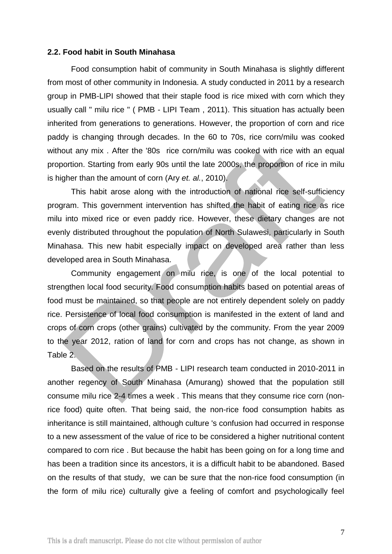#### **2.2. Food habit in South Minahasa**

Food consumption habit of community in South Minahasa is slightly different from most of other community in Indonesia. A study conducted in 2011 by a research group in PMB-LIPI showed that their staple food is rice mixed with corn which they usually call " milu rice " ( PMB - LIPI Team , 2011). This situation has actually been inherited from generations to generations. However, the proportion of corn and rice paddy is changing through decades. In the 60 to 70s, rice corn/milu was cooked without any mix . After the '80s rice corn/milu was cooked with rice with an equal proportion. Starting from early 90s until the late 2000s, the proportion of rice in milu is higher than the amount of corn (Ary *et. al.*, 2010).

This habit arose along with the introduction of national rice self-sufficiency program. This government intervention has shifted the habit of eating rice as rice milu into mixed rice or even paddy rice. However, these dietary changes are not evenly distributed throughout the population of North Sulawesi, particularly in South Minahasa. This new habit especially impact on developed area rather than less developed area in South Minahasa.

Community engagement on milu rice, is one of the local potential to strengthen local food security. Food consumption habits based on potential areas of food must be maintained, so that people are not entirely dependent solely on paddy rice. Persistence of local food consumption is manifested in the extent of land and crops of corn crops (other grains) cultivated by the community. From the year 2009 to the year 2012, ration of land for corn and crops has not change, as shown in Table 2.

Based on the results of PMB - LIPI research team conducted in 2010-2011 in another regency of South Minahasa (Amurang) showed that the population still consume milu rice 2-4 times a week . This means that they consume rice corn (nonrice food) quite often. That being said, the non-rice food consumption habits as inheritance is still maintained, although culture 's confusion had occurred in response to a new assessment of the value of rice to be considered a higher nutritional content compared to corn rice . But because the habit has been going on for a long time and has been a tradition since its ancestors, it is a difficult habit to be abandoned. Based on the results of that study, we can be sure that the non-rice food consumption (in the form of milu rice) culturally give a feeling of comfort and psychologically feel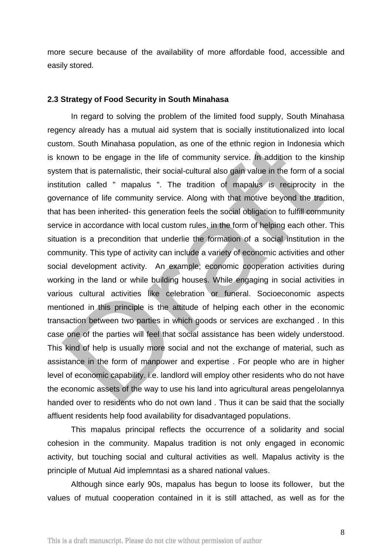more secure because of the availability of more affordable food, accessible and easily stored.

### **2.3 Strategy of Food Security in South Minahasa**

In regard to solving the problem of the limited food supply, South Minahasa regency already has a mutual aid system that is socially institutionalized into local custom. South Minahasa population, as one of the ethnic region in Indonesia which is known to be engage in the life of community service. In addition to the kinship system that is paternalistic, their social-cultural also gain value in the form of a social institution called " mapalus ". The tradition of mapalus is reciprocity in the governance of life community service. Along with that motive beyond the tradition, that has been inherited- this generation feels the social obligation to fulfill community service in accordance with local custom rules, in the form of helping each other. This situation is a precondition that underlie the formation of a social institution in the community. This type of activity can include a variety of economic activities and other social development activity. An example; economic cooperation activities during working in the land or while building houses. While engaging in social activities in various cultural activities like celebration or funeral. Socioeconomic aspects mentioned in this principle is the attitude of helping each other in the economic transaction between two parties in which goods or services are exchanged . In this case one of the parties will feel that social assistance has been widely understood. This kind of help is usually more social and not the exchange of material, such as assistance in the form of manpower and expertise . For people who are in higher level of economic capability. i.e. landlord will employ other residents who do not have the economic assets of the way to use his land into agricultural areas pengelolannya handed over to residents who do not own land . Thus it can be said that the socially affluent residents help food availability for disadvantaged populations.

This mapalus principal reflects the occurrence of a solidarity and social cohesion in the community. Mapalus tradition is not only engaged in economic activity, but touching social and cultural activities as well. Mapalus activity is the principle of Mutual Aid implemntasi as a shared national values.

Although since early 90s, mapalus has begun to loose its follower, but the values of mutual cooperation contained in it is still attached, as well as for the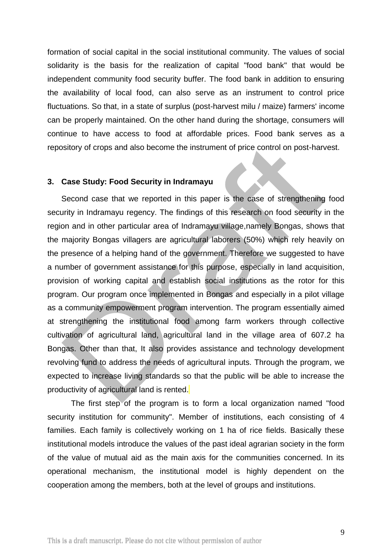formation of social capital in the social institutional community. The values of social solidarity is the basis for the realization of capital "food bank" that would be independent community food security buffer. The food bank in addition to ensuring the availability of local food, can also serve as an instrument to control price fluctuations. So that, in a state of surplus (post-harvest milu / maize) farmers' income can be properly maintained. On the other hand during the shortage, consumers will continue to have access to food at affordable prices. Food bank serves as a repository of crops and also become the instrument of price control on post-harvest.

### **3. Case Study: Food Security in Indramayu**

Second case that we reported in this paper is the case of strengthening food security in Indramayu regency. The findings of this research on food security in the region and in other particular area of Indramayu village,namely Bongas, shows that the majority Bongas villagers are agricultural laborers (50%) which rely heavily on the presence of a helping hand of the government. Therefore we suggested to have a number of government assistance for this purpose, especially in land acquisition, provision of working capital and establish social institutions as the rotor for this program. Our program once implemented in Bongas and especially in a pilot village as a community empowerment program intervention. The program essentially aimed at strengthening the institutional food among farm workers through collective cultivation of agricultural land, agricultural land in the village area of 607.2 ha Bongas. Other than that, It also provides assistance and technology development revolving fund to address the needs of agricultural inputs. Through the program, we expected to increase living standards so that the public will be able to increase the productivity of agricultural land is rented.

The first step of the program is to form a local organization named "food security institution for community". Member of institutions, each consisting of 4 families. Each family is collectively working on 1 ha of rice fields. Basically these institutional models introduce the values of the past ideal agrarian society in the form of the value of mutual aid as the main axis for the communities concerned. In its operational mechanism, the institutional model is highly dependent on the cooperation among the members, both at the level of groups and institutions.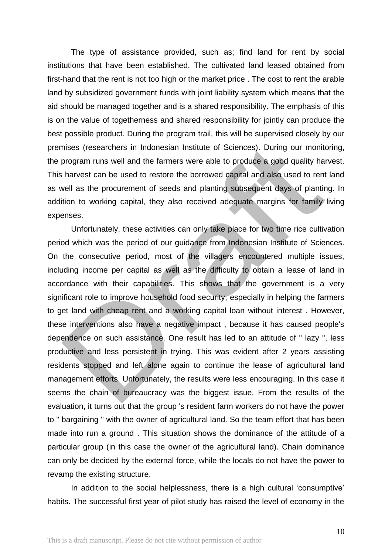The type of assistance provided, such as; find land for rent by social institutions that have been established. The cultivated land leased obtained from first-hand that the rent is not too high or the market price . The cost to rent the arable land by subsidized government funds with joint liability system which means that the aid should be managed together and is a shared responsibility. The emphasis of this is on the value of togetherness and shared responsibility for jointly can produce the best possible product. During the program trail, this will be supervised closely by our premises (researchers in Indonesian Institute of Sciences). During our monitoring, the program runs well and the farmers were able to produce a good quality harvest. This harvest can be used to restore the borrowed capital and also used to rent land as well as the procurement of seeds and planting subsequent days of planting. In addition to working capital, they also received adequate margins for family living expenses.

Unfortunately, these activities can only take place for two time rice cultivation period which was the period of our guidance from Indonesian Institute of Sciences. On the consecutive period, most of the villagers encountered multiple issues, including income per capital as well as the difficulty to obtain a lease of land in accordance with their capabilities. This shows that the government is a very significant role to improve household food security, especially in helping the farmers to get land with cheap rent and a working capital loan without interest . However, these interventions also have a negative impact , because it has caused people's dependence on such assistance. One result has led to an attitude of " lazy ", less productive and less persistent in trying. This was evident after 2 years assisting residents stopped and left alone again to continue the lease of agricultural land management efforts. Unfortunately, the results were less encouraging. In this case it seems the chain of bureaucracy was the biggest issue. From the results of the evaluation, it turns out that the group 's resident farm workers do not have the power to " bargaining " with the owner of agricultural land. So the team effort that has been made into run a ground . This situation shows the dominance of the attitude of a particular group (in this case the owner of the agricultural land). Chain dominance can only be decided by the external force, while the locals do not have the power to revamp the existing structure.

In addition to the social helplessness, there is a high cultural 'consumptive' habits. The successful first year of pilot study has raised the level of economy in the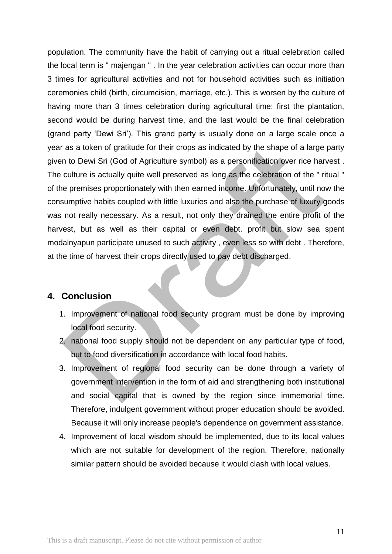population. The community have the habit of carrying out a ritual celebration called the local term is " majengan " . In the year celebration activities can occur more than 3 times for agricultural activities and not for household activities such as initiation ceremonies child (birth, circumcision, marriage, etc.). This is worsen by the culture of having more than 3 times celebration during agricultural time: first the plantation, second would be during harvest time, and the last would be the final celebration (grand party 'Dewi Sri'). This grand party is usually done on a large scale once a year as a token of gratitude for their crops as indicated by the shape of a large party given to Dewi Sri (God of Agriculture symbol) as a personification over rice harvest . The culture is actually quite well preserved as long as the celebration of the " ritual " of the premises proportionately with then earned income. Unfortunately, until now the consumptive habits coupled with little luxuries and also the purchase of luxury goods was not really necessary. As a result, not only they drained the entire profit of the harvest, but as well as their capital or even debt. profit but slow sea spent modalnyapun participate unused to such activity , even less so with debt . Therefore, at the time of harvest their crops directly used to pay debt discharged.

## **4. Conclusion**

- 1. Improvement of national food security program must be done by improving local food security.
- 2. national food supply should not be dependent on any particular type of food, but to food diversification in accordance with local food habits.
- 3. Improvement of regional food security can be done through a variety of government intervention in the form of aid and strengthening both institutional and social capital that is owned by the region since immemorial time. Therefore, indulgent government without proper education should be avoided. Because it will only increase people's dependence on government assistance.
- 4. Improvement of local wisdom should be implemented, due to its local values which are not suitable for development of the region. Therefore, nationally similar pattern should be avoided because it would clash with local values.